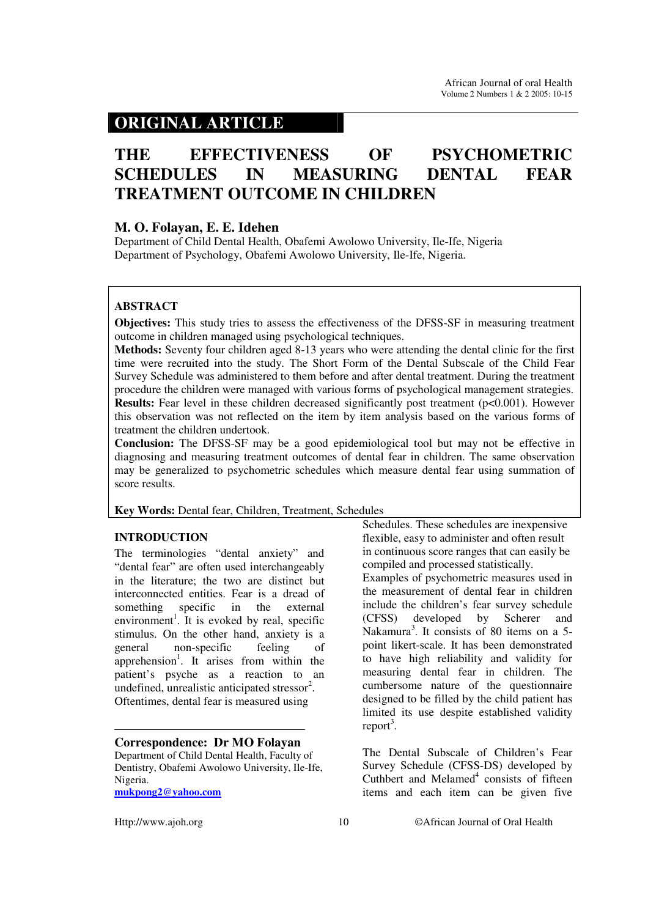# **ORIGINAL ARTICLE**

# **THE EFFECTIVENESS OF PSYCHOMETRIC SCHEDULES IN MEASURING DENTAL FEAR TREATMENT OUTCOME IN CHILDREN**

## **M. O. Folayan, E. E. Idehen**

Department of Child Dental Health, Obafemi Awolowo University, Ile-Ife, Nigeria Department of Psychology, Obafemi Awolowo University, Ile-Ife, Nigeria.

## **ABSTRACT**

**Objectives:** This study tries to assess the effectiveness of the DFSS-SF in measuring treatment outcome in children managed using psychological techniques.

**Methods:** Seventy four children aged 8-13 years who were attending the dental clinic for the first time were recruited into the study. The Short Form of the Dental Subscale of the Child Fear Survey Schedule was administered to them before and after dental treatment. During the treatment procedure the children were managed with various forms of psychological management strategies. **Results:** Fear level in these children decreased significantly post treatment (p<0.001). However this observation was not reflected on the item by item analysis based on the various forms of treatment the children undertook.

**Conclusion:** The DFSS-SF may be a good epidemiological tool but may not be effective in diagnosing and measuring treatment outcomes of dental fear in children. The same observation may be generalized to psychometric schedules which measure dental fear using summation of score results.

**Key Words:** Dental fear, Children, Treatment, Schedules

### **INTRODUCTION**

The terminologies "dental anxiety" and "dental fear" are often used interchangeably in the literature; the two are distinct but interconnected entities. Fear is a dread of something specific in the external environment<sup>1</sup>. It is evoked by real, specific stimulus. On the other hand, anxiety is a general non-specific feeling of apprehension<sup>1</sup>. It arises from within the patient's psyche as a reaction to an undefined, unrealistic anticipated stressor<sup>2</sup>. Oftentimes, dental fear is measured using

**Correspondence: Dr MO Folayan**

Department of Child Dental Health, Faculty of Dentistry, Obafemi Awolowo University, Ile-Ife, Nigeria. **mukpong2@yahoo.com**

Schedules. These schedules are inexpensive flexible, easy to administer and often result in continuous score ranges that can easily be compiled and processed statistically.

Examples of psychometric measures used in the measurement of dental fear in children include the children's fear survey schedule (CFSS) developed by Scherer and Nakamura<sup>3</sup>. It consists of 80 items on a 5point likert-scale. It has been demonstrated to have high reliability and validity for measuring dental fear in children. The cumbersome nature of the questionnaire designed to be filled by the child patient has limited its use despite established validity report<sup>3</sup>.

The Dental Subscale of Children's Fear Survey Schedule (CFSS-DS) developed by Cuthbert and Melamed 4 consists of fifteen items and each item can be given five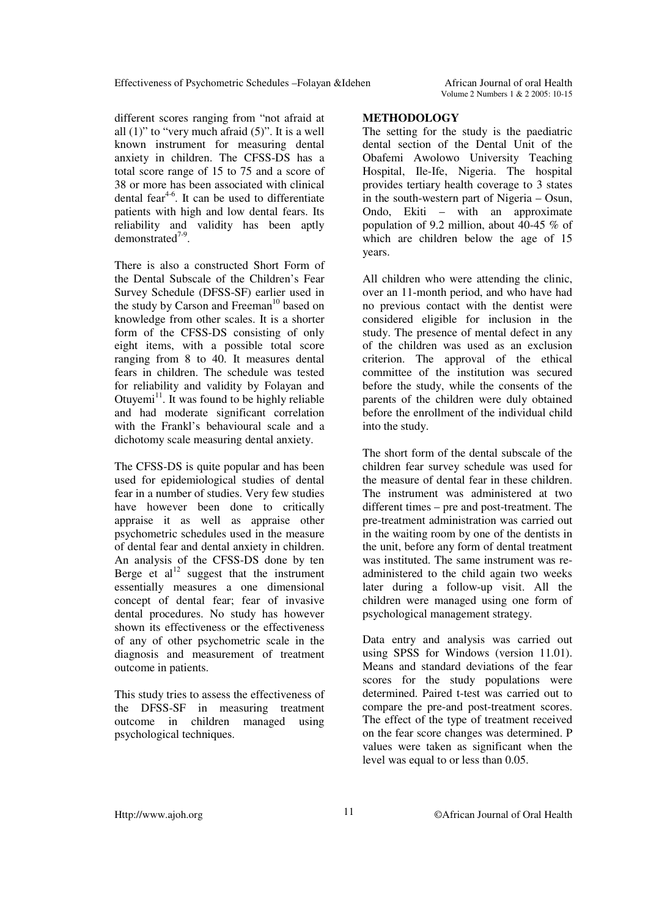different scores ranging from "not afraid at all  $(1)$ " to "very much afraid  $(5)$ ". It is a well known instrument for measuring dental anxiety in children. The CFSS-DS has a total score range of 15 to 75 and a score of 38 or more has been associated with clinical dental fear 4-6 . It can be used to differentiate patients with high and low dental fears. Its reliability and validity has been aptly demonstrated 7-9 .

There is also a constructed Short Form of the Dental Subscale of the Children's Fear Survey Schedule (DFSS-SF) earlier used in the study by Carson and Freeman<sup>10</sup> based on knowledge from other scales. It is a shorter form of the CFSS-DS consisting of only eight items, with a possible total score ranging from 8 to 40. It measures dental fears in children. The schedule was tested for reliability and validity by Folayan and Otuyemi<sup>11</sup>. It was found to be highly reliable and had moderate significant correlation with the Frankl's behavioural scale and a dichotomy scale measuring dental anxiety.

The CFSS-DS is quite popular and has been used for epidemiological studies of dental fear in a number of studies. Very few studies have however been done to critically appraise it as well as appraise other psychometric schedules used in the measure of dental fear and dental anxiety in children. An analysis of the CFSS-DS done by ten Berge et  $al<sup>12</sup>$  suggest that the instrument essentially measures a one dimensional concept of dental fear; fear of invasive dental procedures. No study has however shown its effectiveness or the effectiveness of any of other psychometric scale in the diagnosis and measurement of treatment outcome in patients.

This study tries to assess the effectiveness of the DFSS-SF in measuring treatment outcome in children managed using psychological techniques.

Volume 2 Numbers 1 & 2 2005: 10-15

### **METHODOLOGY**

The setting for the study is the paediatric dental section of the Dental Unit of the Obafemi Awolowo University Teaching Hospital, Ile-Ife, Nigeria. The hospital provides tertiary health coverage to 3 states in the south-western part of Nigeria – Osun, Ondo, Ekiti – with an approximate population of 9.2 million, about 40-45 % of which are children below the age of 15 years.

All children who were attending the clinic, over an 11-month period, and who have had no previous contact with the dentist were considered eligible for inclusion in the study. The presence of mental defect in any of the children was used as an exclusion criterion. The approval of the ethical committee of the institution was secured before the study, while the consents of the parents of the children were duly obtained before the enrollment of the individual child into the study.

The short form of the dental subscale of the children fear survey schedule was used for the measure of dental fear in these children. The instrument was administered at two different times – pre and post-treatment. The pre-treatment administration was carried out in the waiting room by one of the dentists in the unit, before any form of dental treatment was instituted. The same instrument was readministered to the child again two weeks later during a follow-up visit. All the children were managed using one form of psychological management strategy.

Data entry and analysis was carried out using SPSS for Windows (version 11.01). Means and standard deviations of the fear scores for the study populations were determined. Paired t-test was carried out to compare the pre-and post-treatment scores. The effect of the type of treatment received on the fear score changes was determined. P values were taken as significant when the level was equal to or less than 0.05.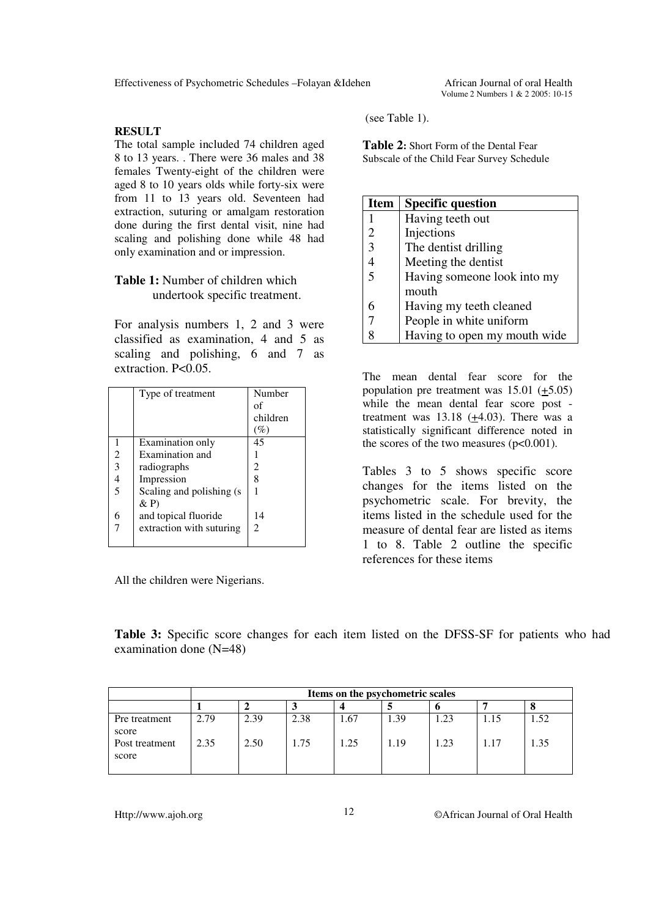Effectiveness of Psychometric Schedules –Folayan &Idehen African Journal of oral Health

Volume 2 Numbers 1 & 2 2005: 10-15

### **RESULT**

The total sample included 74 children aged 8 to 13 years. . There were 36 males and 38 females Twenty-eight of the children were aged 8 to 10 years olds while forty-six were from 11 to 13 years old. Seventeen had extraction, suturing or amalgam restoration done during the first dental visit, nine had scaling and polishing done while 48 had only examination and or impression.

## **Table 1:** Number of children which undertook specific treatment.

For analysis numbers 1, 2 and 3 were classified as examination, 4 and 5 as scaling and polishing, 6 and 7 as extraction. P<0.05.

|                | Type of treatment        | Number         |
|----------------|--------------------------|----------------|
|                |                          | of             |
|                |                          | children       |
|                |                          | $( \% )$       |
| 1              | Examination only         | 45             |
| $\overline{c}$ | Examination and          |                |
| 3              | radiographs              | $\overline{c}$ |
|                | Impression               | 8              |
| 5              | Scaling and polishing (s |                |
|                | $\& P)$                  |                |
| 6              | and topical fluoride     | 14             |
|                | extraction with suturing | $\mathfrak{D}$ |
|                |                          |                |
|                |                          |                |

All the children were Nigerians.

(see Table 1).

**Table 2:** Short Form of the Dental Fear Subscale of the Child Fear Survey Schedule

| <b>Item</b> | <b>Specific question</b>     |
|-------------|------------------------------|
|             | Having teeth out             |
| 2           | Injections                   |
| 3           | The dentist drilling         |
| 4           | Meeting the dentist          |
| 5           | Having someone look into my  |
|             | mouth                        |
| 6           | Having my teeth cleaned      |
|             | People in white uniform      |
|             | Having to open my mouth wide |

The mean dental fear score for the population pre treatment was 15.01 (+5.05) while the mean dental fear score post treatment was  $13.18$  (+4.03). There was a statistically significant difference noted in the scores of the two measures  $(p<0.001)$ .

Tables 3 to 5 shows specific score changes for the items listed on the psychometric scale. For brevity, the items listed in the schedule used for the measure of dental fear are listed as items 1 to 8. Table 2 outline the specific references for these items

**Table 3:** Specific score changes for each item listed on the DFSS-SF for patients who had examination done (N=48)

|                         | Items on the psychometric scales |      |      |      |      |      |      |      |
|-------------------------|----------------------------------|------|------|------|------|------|------|------|
|                         |                                  |      |      |      |      |      |      |      |
| Pre treatment<br>score  | 2.79                             | 2.39 | 2.38 | 1.67 | 1.39 | 1.23 | 1.15 | 1.52 |
| Post treatment<br>score | 2.35                             | 2.50 | 1.75 | 1.25 | 1.19 | 1.23 | 1.17 | 1.35 |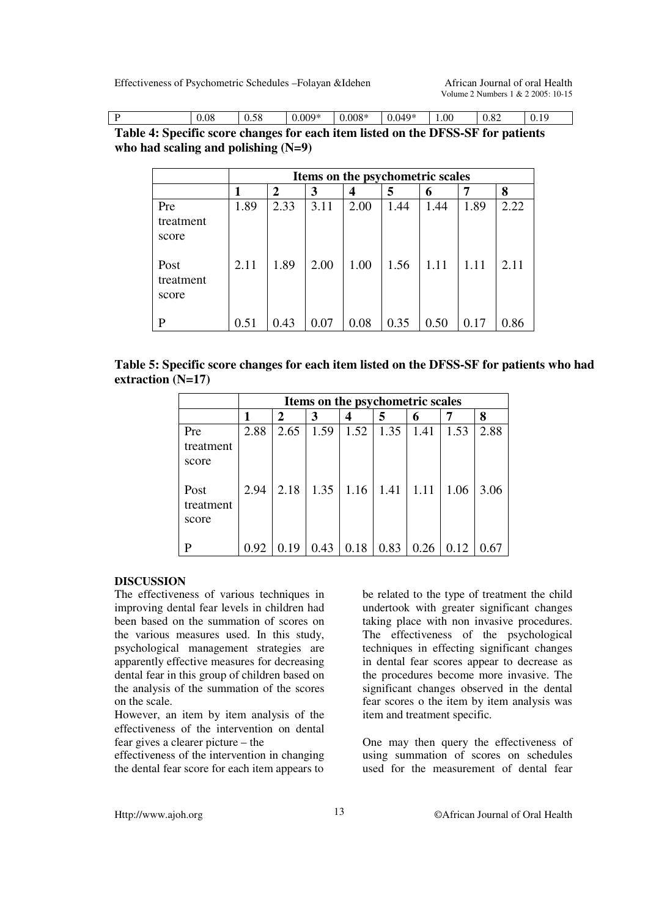Effectiveness of Psychometric Schedules –Folayan &Idehen African Journal of oral Health

Volume 2 Numbers 1 & 2 2005: 10-15

**Table 4: Specific score changes for each item listed on the DFSS-SF for patients who had scaling and polishing (N=9)** P  $\vert 0.08 \vert 0.58 \vert 0.009^* \vert 0.008^* \vert 0.049^* \vert 1.00 \vert 0.82 \vert 0.19$ 

|                            |      | Items on the psychometric scales |      |      |      |      |      |      |
|----------------------------|------|----------------------------------|------|------|------|------|------|------|
|                            |      | $\mathbf 2$                      | 3    |      | 5    | 6    | 7    | 8    |
| Pre<br>treatment<br>score  | 1.89 | 2.33                             | 3.11 | 2.00 | 1.44 | 1.44 | 1.89 | 2.22 |
| Post<br>treatment<br>score | 2.11 | 1.89                             | 2.00 | 1.00 | 1.56 | 1.11 | 1.11 | 2.11 |
| P                          | 0.51 | 0.43                             | 0.07 | 0.08 | 0.35 | 0.50 | 0.17 | 0.86 |

**Table 5: Specific score changes for each item listed on the DFSS-SF for patients who had extraction (N=17)**

|                            | Items on the psychometric scales |      |      |      |      |      |      |      |
|----------------------------|----------------------------------|------|------|------|------|------|------|------|
|                            |                                  | 2    | 3    | 4    | 5    | 6    |      | 8    |
| Pre<br>treatment<br>score  | 2.88                             | 2.65 | 1.59 | 1.52 | 1.35 | 1.41 | 1.53 | 2.88 |
| Post<br>treatment<br>score | 2.94                             | 2.18 | 1.35 | 1.16 | 1.41 | 1.11 | 1.06 | 3.06 |
| P                          | 0.92                             | 0.19 | 0.43 | 0.18 | 0.83 | 0.26 | 0.12 |      |

### **DISCUSSION**

The effectiveness of various techniques in improving dental fear levels in children had been based on the summation of scores on the various measures used. In this study, psychological management strategies are apparently effective measures for decreasing dental fear in this group of children based on the analysis of the summation of the scores on the scale.

However, an item by item analysis of the effectiveness of the intervention on dental fear gives a clearer picture – the

effectiveness of the intervention in changing the dental fear score for each item appears to

be related to the type of treatment the child undertook with greater significant changes taking place with non invasive procedures. The effectiveness of the psychological techniques in effecting significant changes in dental fear scores appear to decrease as the procedures become more invasive. The significant changes observed in the dental fear scores o the item by item analysis was item and treatment specific.

One may then query the effectiveness of using summation of scores on schedules used for the measurement of dental fear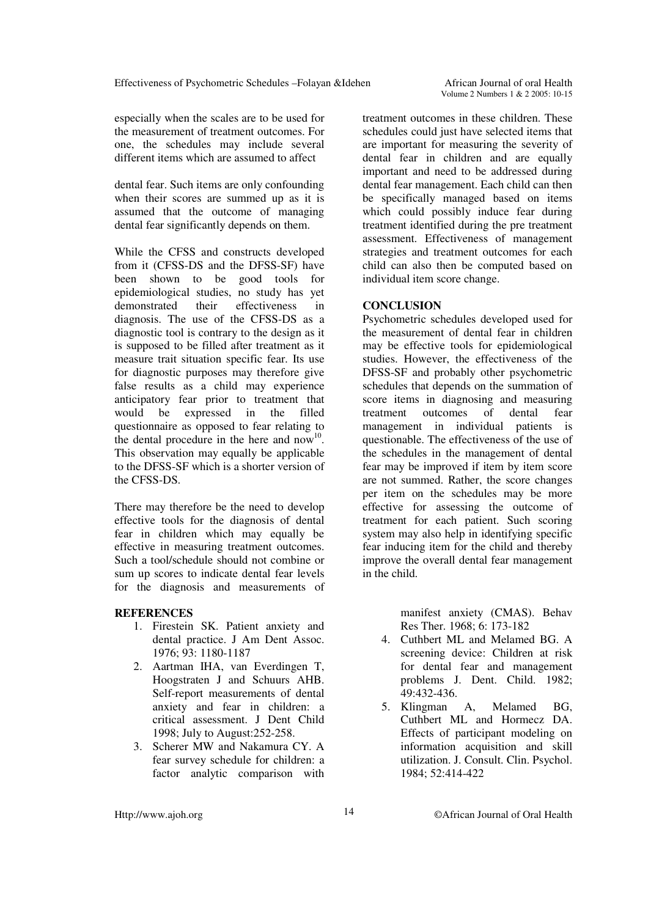especially when the scales are to be used for the measurement of treatment outcomes. For one, the schedules may include several different items which are assumed to affect

dental fear. Such items are only confounding when their scores are summed up as it is assumed that the outcome of managing dental fear significantly depends on them.

While the CFSS and constructs developed from it (CFSS-DS and the DFSS-SF) have been shown to be good tools for epidemiological studies, no study has yet demonstrated their effectiveness in diagnosis. The use of the CFSS-DS as a diagnostic tool is contrary to the design as it is supposed to be filled after treatment as it measure trait situation specific fear. Its use for diagnostic purposes may therefore give false results as a child may experience anticipatory fear prior to treatment that would be expressed in the filled questionnaire as opposed to fear relating to the dental procedure in the here and  $now<sup>10</sup>$ . This observation may equally be applicable to the DFSS-SF which is a shorter version of the CFSS-DS.

There may therefore be the need to develop effective tools for the diagnosis of dental fear in children which may equally be effective in measuring treatment outcomes. Such a tool/schedule should not combine or sum up scores to indicate dental fear levels for the diagnosis and measurements of

#### **REFERENCES**

- 1. Firestein SK. Patient anxiety and dental practice. J Am Dent Assoc. 1976; 93: 1180-1187
- 2. Aartman IHA, van Everdingen T, Hoogstraten J and Schuurs AHB. Self-report measurements of dental anxiety and fear in children: a critical assessment. J Dent Child 1998; July to August:252-258.
- 3. Scherer MW and Nakamura CY. A fear survey schedule for children: a factor analytic comparison with

treatment outcomes in these children. These schedules could just have selected items that are important for measuring the severity of dental fear in children and are equally important and need to be addressed during dental fear management. Each child can then be specifically managed based on items which could possibly induce fear during treatment identified during the pre treatment assessment. Effectiveness of management strategies and treatment outcomes for each child can also then be computed based on individual item score change.

#### **CONCLUSION**

Psychometric schedules developed used for the measurement of dental fear in children may be effective tools for epidemiological studies. However, the effectiveness of the DFSS-SF and probably other psychometric schedules that depends on the summation of score items in diagnosing and measuring treatment outcomes of dental fear management in individual patients is questionable. The effectiveness of the use of the schedules in the management of dental fear may be improved if item by item score are not summed. Rather, the score changes per item on the schedules may be more effective for assessing the outcome of treatment for each patient. Such scoring system may also help in identifying specific fear inducing item for the child and thereby improve the overall dental fear management in the child.

> manifest anxiety (CMAS). Behav Res Ther. 1968; 6: 173-182

- 4. Cuthbert ML and Melamed BG. A screening device: Children at risk for dental fear and management problems J. Dent. Child. 1982; 49:432-436.
- 5. Klingman A, Melamed BG, Cuthbert ML and Hormecz DA. Effects of participant modeling on information acquisition and skill utilization. J. Consult. Clin. Psychol. 1984; 52:414-422